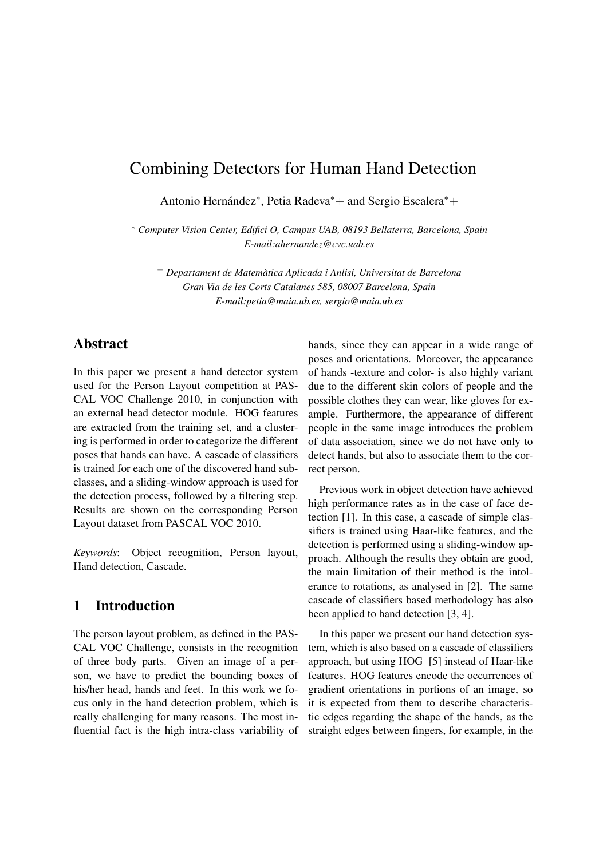# Combining Detectors for Human Hand Detection

Antonio Hernández\*, Petia Radeva\*+ and Sergio Escalera\*+

<sup>∗</sup> *Computer Vision Center, Edifici O, Campus UAB, 08193 Bellaterra, Barcelona, Spain E-mail:ahernandez@cvc.uab.es*

<sup>+</sup> *Departament de Matematica Aplicada i Anlisi, Universitat de Barcelona ` Gran Via de les Corts Catalanes 585, 08007 Barcelona, Spain E-mail:petia@maia.ub.es, sergio@maia.ub.es*

### **Abstract**

In this paper we present a hand detector system used for the Person Layout competition at PAS-CAL VOC Challenge 2010, in conjunction with an external head detector module. HOG features are extracted from the training set, and a clustering is performed in order to categorize the different poses that hands can have. A cascade of classifiers is trained for each one of the discovered hand subclasses, and a sliding-window approach is used for the detection process, followed by a filtering step. Results are shown on the corresponding Person Layout dataset from PASCAL VOC 2010.

*Keywords*: Object recognition, Person layout, Hand detection, Cascade.

### 1 Introduction

The person layout problem, as defined in the PAS-CAL VOC Challenge, consists in the recognition of three body parts. Given an image of a person, we have to predict the bounding boxes of his/her head, hands and feet. In this work we focus only in the hand detection problem, which is really challenging for many reasons. The most influential fact is the high intra-class variability of hands, since they can appear in a wide range of poses and orientations. Moreover, the appearance of hands -texture and color- is also highly variant due to the different skin colors of people and the possible clothes they can wear, like gloves for example. Furthermore, the appearance of different people in the same image introduces the problem of data association, since we do not have only to detect hands, but also to associate them to the correct person.

Previous work in object detection have achieved high performance rates as in the case of face detection [1]. In this case, a cascade of simple classifiers is trained using Haar-like features, and the detection is performed using a sliding-window approach. Although the results they obtain are good, the main limitation of their method is the intolerance to rotations, as analysed in [2]. The same cascade of classifiers based methodology has also been applied to hand detection [3, 4].

In this paper we present our hand detection system, which is also based on a cascade of classifiers approach, but using HOG [5] instead of Haar-like features. HOG features encode the occurrences of gradient orientations in portions of an image, so it is expected from them to describe characteristic edges regarding the shape of the hands, as the straight edges between fingers, for example, in the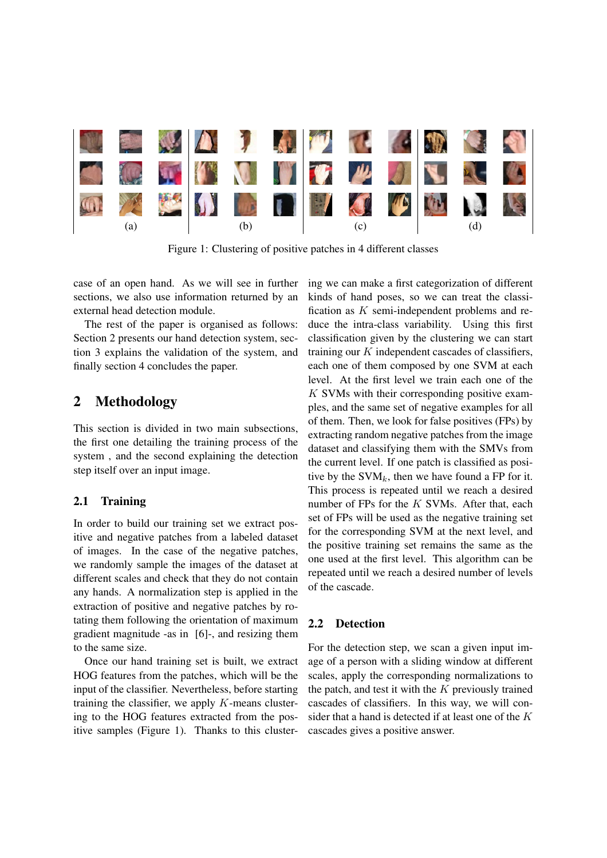

Figure 1: Clustering of positive patches in 4 different classes

case of an open hand. As we will see in further sections, we also use information returned by an external head detection module.

The rest of the paper is organised as follows: Section 2 presents our hand detection system, section 3 explains the validation of the system, and finally section 4 concludes the paper.

### 2 Methodology

This section is divided in two main subsections, the first one detailing the training process of the system , and the second explaining the detection step itself over an input image.

#### 2.1 Training

In order to build our training set we extract positive and negative patches from a labeled dataset of images. In the case of the negative patches, we randomly sample the images of the dataset at different scales and check that they do not contain any hands. A normalization step is applied in the extraction of positive and negative patches by rotating them following the orientation of maximum gradient magnitude -as in [6]-, and resizing them to the same size.

Once our hand training set is built, we extract HOG features from the patches, which will be the input of the classifier. Nevertheless, before starting training the classifier, we apply  $K$ -means clustering to the HOG features extracted from the positive samples (Figure 1). Thanks to this clustering we can make a first categorization of different kinds of hand poses, so we can treat the classification as K semi-independent problems and reduce the intra-class variability. Using this first classification given by the clustering we can start training our  $K$  independent cascades of classifiers, each one of them composed by one SVM at each level. At the first level we train each one of the  $K$  SVMs with their corresponding positive examples, and the same set of negative examples for all of them. Then, we look for false positives (FPs) by extracting random negative patches from the image dataset and classifying them with the SMVs from the current level. If one patch is classified as positive by the  $SVM_k$ , then we have found a FP for it. This process is repeated until we reach a desired number of FPs for the  $K$  SVMs. After that, each set of FPs will be used as the negative training set for the corresponding SVM at the next level, and the positive training set remains the same as the one used at the first level. This algorithm can be repeated until we reach a desired number of levels of the cascade.

#### 2.2 Detection

For the detection step, we scan a given input image of a person with a sliding window at different scales, apply the corresponding normalizations to the patch, and test it with the  $K$  previously trained cascades of classifiers. In this way, we will consider that a hand is detected if at least one of the K cascades gives a positive answer.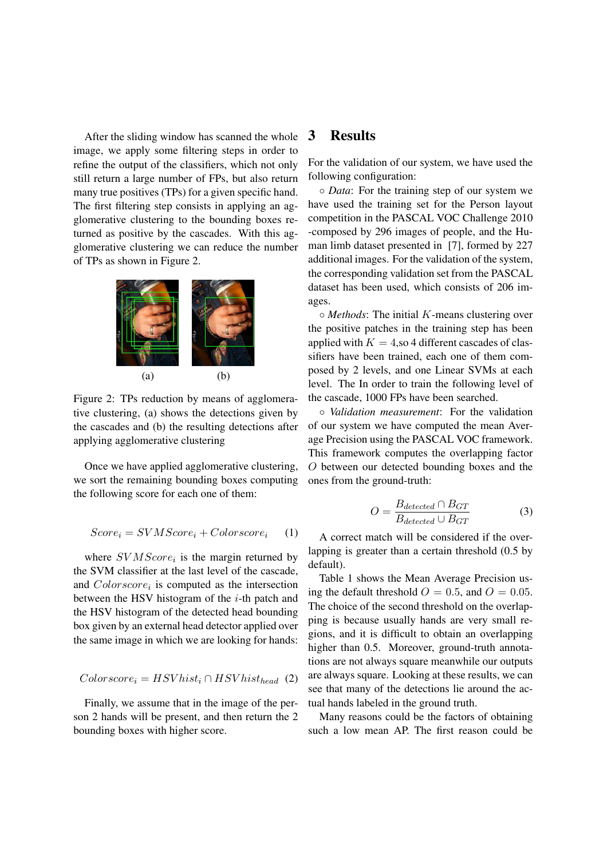After the sliding window has scanned the whole image, we apply some filtering steps in order to refine the output of the classifiers, which not only still return a large number of FPs, but also return many true positives (TPs) for a given specific hand. The first filtering step consists in applying an agglomerative clustering to the bounding boxes returned as positive by the cascades. With this agglomerative clustering we can reduce the number of TPs as shown in Figure 2.



Figure 2: TPs reduction by means of agglomerative clustering, (a) shows the detections given by the cascades and (b) the resulting detections after applying agglomerative clustering

Once we have applied agglomerative clustering, we sort the remaining bounding boxes computing the following score for each one of them:

$$
Score_i = SVMScore_i + Colorscore_i \qquad (1)
$$

where  $SVMScore_i$  is the margin returned by the SVM classifier at the last level of the cascade, and  $Color score_i$  is computed as the intersection between the HSV histogram of the  $i$ -th patch and the HSV histogram of the detected head bounding box given by an external head detector applied over the same image in which we are looking for hands:

$$
Color score_i = HSVhist_i \cap HSVhist_{head} (2)
$$

Finally, we assume that in the image of the person 2 hands will be present, and then return the 2 bounding boxes with higher score.

### 3 Results

For the validation of our system, we have used the following configuration:

◦ *Data*: For the training step of our system we have used the training set for the Person layout competition in the PASCAL VOC Challenge 2010 -composed by 296 images of people, and the Human limb dataset presented in [7], formed by 227 additional images. For the validation of the system, the corresponding validation set from the PASCAL dataset has been used, which consists of 206 images.

◦ *Methods*: The initial K-means clustering over the positive patches in the training step has been applied with  $K = 4$ , so 4 different cascades of classifiers have been trained, each one of them composed by 2 levels, and one Linear SVMs at each level. The In order to train the following level of the cascade, 1000 FPs have been searched.

◦ *Validation measurement*: For the validation of our system we have computed the mean Average Precision using the PASCAL VOC framework. This framework computes the overlapping factor O between our detected bounding boxes and the ones from the ground-truth:

$$
O = \frac{B_{detected} \cap B_{GT}}{B_{detected} \cup B_{GT}}
$$
(3)

A correct match will be considered if the overlapping is greater than a certain threshold (0.5 by default).

Table 1 shows the Mean Average Precision using the default threshold  $O = 0.5$ , and  $O = 0.05$ . The choice of the second threshold on the overlapping is because usually hands are very small regions, and it is difficult to obtain an overlapping higher than 0.5. Moreover, ground-truth annotations are not always square meanwhile our outputs are always square. Looking at these results, we can see that many of the detections lie around the actual hands labeled in the ground truth.

Many reasons could be the factors of obtaining such a low mean AP. The first reason could be